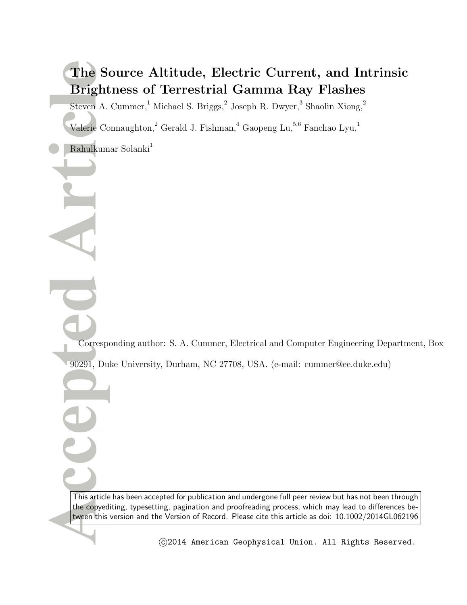# **The Source Altitude, Electric Current, and Intrinsic Brightness of Terrestrial Gamma Ray Flashes**

Steven A. Cummer, <sup>1</sup> Michael S. Briggs,  $^2$  Joseph R. Dwyer,  $^3$  Shaolin Xiong,  $^2$ 

Valerie Connaughton,<sup>2</sup> Gerald J. Fishman,<sup>4</sup> Gaopeng Lu,<sup>5,6</sup> Fanchao Lyu,<sup>1</sup>

Rahulkumar Solanki $1$ 

Corresponding author: S. A. Cummer, Electrical and Computer Engineering Department, Box 90291, Duke University, Durham, NC 27708, USA. (e-mail: cummer@ee.duke.edu)

This article has been accepted for publication and undergone full peer review but has not been through the copyediting, typesetting, pagination and proofreading process, which may lead to differences between this version and the Version of Record. Please cite this article as doi: 10.1002/2014GL062196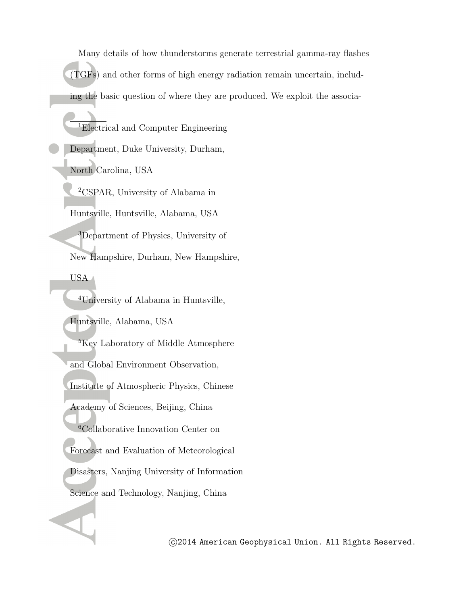Many details of how thunderstorms generate terrestrial gamma-ray flashes (TGFs) and other forms of high energy radiation remain uncertain, including the basic question of where they are produced. We exploit the associa-

<sup>1</sup>Electrical and Computer Engineering Department, Duke University, Durham, North Carolina, USA <sup>2</sup>CSPAR, University of Alabama in Huntsville, Huntsville, Alabama, USA <sup>3</sup>Department of Physics, University of New Hampshire, Durham, New Hampshire, USA <sup>4</sup>University of Alabama in Huntsville, Huntsville, Alabama, USA <sup>5</sup>Key Laboratory of Middle Atmosphere and Global Environment Observation, Institute of Atmospheric Physics, Chinese Academy of Sciences, Beijing, China <sup>6</sup>Collaborative Innovation Center on Forecast and Evaluation of Meteorological

Disasters, Nanjing University of Information

Science and Technology, Nanjing, China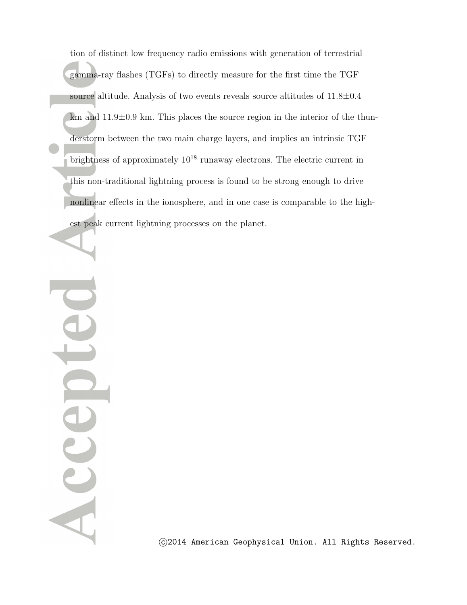tion of distinct low frequency radio emissions with generation of terrestrial gamma-ray flashes (TGFs) to directly measure for the first time the TGF source altitude. Analysis of two events reveals source altitudes of 11.8*±*0.4 km and  $11.9\pm0.9$  km. This places the source region in the interior of the thunderstorm between the two main charge layers, and implies an intrinsic TGF brightness of approximately  $10^{18}$  runaway electrons. The electric current in this non-traditional lightning process is found to be strong enough to drive nonlinear effects in the ionosphere, and in one case is comparable to the highest peak current lightning processes on the planet.

A ccept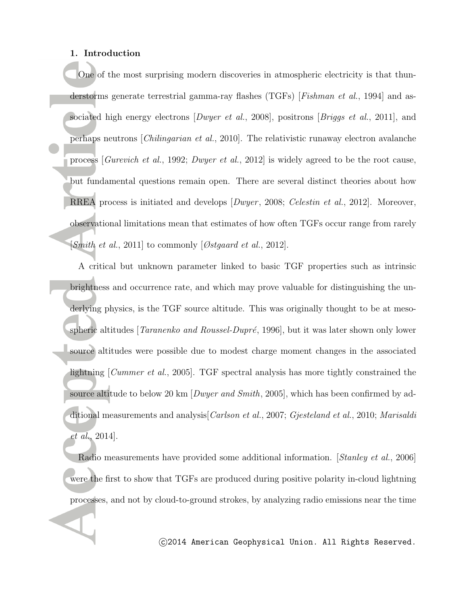#### **1. Introduction**

One of the most surprising modern discoveries in atmospheric electricity is that thunderstorms generate terrestrial gamma-ray flashes (TGFs) [*Fishman et al.*, 1994] and associated high energy electrons [*Dwyer et al.*, 2008], positrons [*Briggs et al.*, 2011], and perhaps neutrons [*Chilingarian et al.*, 2010]. The relativistic runaway electron avalanche process [*Gurevich et al.*, 1992; *Dwyer et al.*, 2012] is widely agreed to be the root cause, but fundamental questions remain open. There are several distinct theories about how RREA process is initiated and develops [*Dwyer* , 2008; *Celestin et al.*, 2012]. Moreover, observational limitations mean that estimates of how often TGFs occur range from rarely [*Smith et al.*, 2011] to commonly [*Østgaard et al.*, 2012].

A critical but unknown parameter linked to basic TGF properties such as intrinsic brightness and occurrence rate, and which may prove valuable for distinguishing the underlying physics, is the TGF source altitude. This was originally thought to be at mesospheric altitudes [*Taranenko and Roussel-Dupré*, 1996], but it was later shown only lower source altitudes were possible due to modest charge moment changes in the associated lightning [*Cummer et al.*, 2005]. TGF spectral analysis has more tightly constrained the source altitude to below 20 km [*Dwyer and Smith*, 2005], which has been confirmed by additional measurements and analysis[*Carlson et al.*, 2007; *Gjesteland et al.*, 2010; *Marisaldi et al.*, 2014].

Radio measurements have provided some additional information. [*Stanley et al.*, 2006] were the first to show that TGFs are produced during positive polarity in-cloud lightning processes, and not by cloud-to-ground strokes, by analyzing radio emissions near the time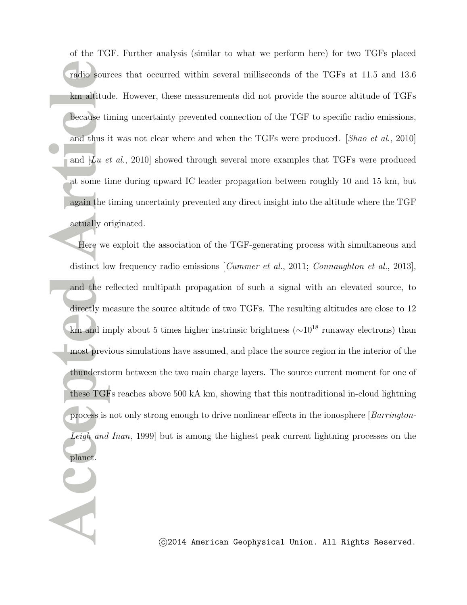of the TGF. Further analysis (similar to what we perform here) for two TGFs placed radio sources that occurred within several milliseconds of the TGFs at 11.5 and 13.6 km altitude. However, these measurements did not provide the source altitude of TGFs because timing uncertainty prevented connection of the TGF to specific radio emissions, and thus it was not clear where and when the TGFs were produced. [*Shao et al.*, 2010] and [*Lu et al.*, 2010] showed through several more examples that TGFs were produced at some time during upward IC leader propagation between roughly 10 and 15 km, but again the timing uncertainty prevented any direct insight into the altitude where the TGF actually originated.

Here we exploit the association of the TGF-generating process with simultaneous and distinct low frequency radio emissions [*Cummer et al.*, 2011; *Connaughton et al.*, 2013], and the reflected multipath propagation of such a signal with an elevated source, to directly measure the source altitude of two TGFs. The resulting altitudes are close to 12 km and imply about 5 times higher instrinsic brightness (*∼*10<sup>18</sup> runaway electrons) than most previous simulations have assumed, and place the source region in the interior of the thunderstorm between the two main charge layers. The source current moment for one of these TGFs reaches above 500 kA km, showing that this nontraditional in-cloud lightning process is not only strong enough to drive nonlinear effects in the ionosphere [*Barrington-Leigh and Inan*, 1999] but is among the highest peak current lightning processes on the planet.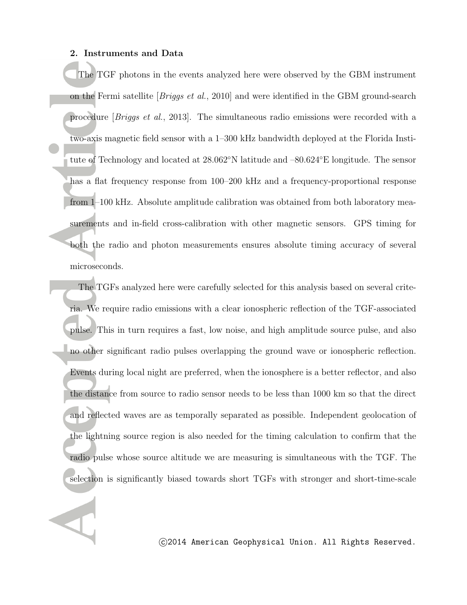#### **2. Instruments and Data**

The TGF photons in the events analyzed here were observed by the GBM instrument on the Fermi satellite [*Briggs et al.*, 2010] and were identified in the GBM ground-search procedure [*Briggs et al.*, 2013]. The simultaneous radio emissions were recorded with a two-axis magnetic field sensor with a 1–300 kHz bandwidth deployed at the Florida Institute of Technology and located at 28.062*◦*N latitude and –80.624*◦*E longitude. The sensor has a flat frequency response from 100–200 kHz and a frequency-proportional response from 1–100 kHz. Absolute amplitude calibration was obtained from both laboratory measurements and in-field cross-calibration with other magnetic sensors. GPS timing for both the radio and photon measurements ensures absolute timing accuracy of several microseconds.

The TGFs analyzed here were carefully selected for this analysis based on several criteria. We require radio emissions with a clear ionospheric reflection of the TGF-associated pulse. This in turn requires a fast, low noise, and high amplitude source pulse, and also no other significant radio pulses overlapping the ground wave or ionospheric reflection. Events during local night are preferred, when the ionosphere is a better reflector, and also the distance from source to radio sensor needs to be less than 1000 km so that the direct and reflected waves are as temporally separated as possible. Independent geolocation of the lightning source region is also needed for the timing calculation to confirm that the radio pulse whose source altitude we are measuring is simultaneous with the TGF. The selection is significantly biased towards short TGFs with stronger and short-time-scale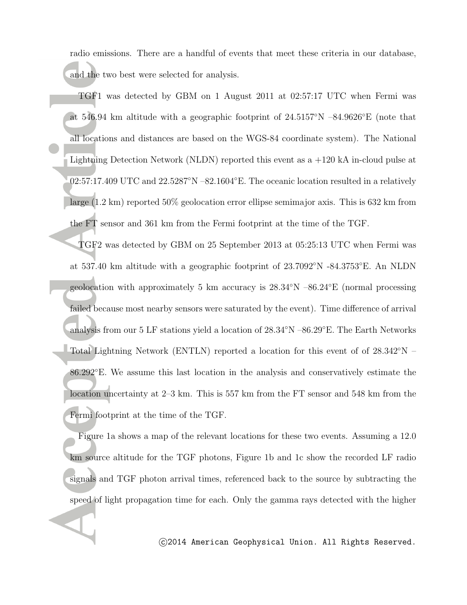radio emissions. There are a handful of events that meet these criteria in our database, and the two best were selected for analysis.

TGF1 was detected by GBM on 1 August 2011 at 02:57:17 UTC when Fermi was at 546.94 km altitude with a geographic footprint of 24.5157*◦*N –84.9626*◦*E (note that all locations and distances are based on the WGS-84 coordinate system). The National Lightning Detection Network (NLDN) reported this event as  $a +120$  kA in-cloud pulse at 02:57:17.409 UTC and 22.5287*◦*N –82.1604*◦*E. The oceanic location resulted in a relatively large (1.2 km) reported 50% geolocation error ellipse semimajor axis. This is 632 km from the FT sensor and 361 km from the Fermi footprint at the time of the TGF.

TGF2 was detected by GBM on 25 September 2013 at 05:25:13 UTC when Fermi was at 537.40 km altitude with a geographic footprint of 23.7092*◦*N -84.3753*◦*E. An NLDN geolocation with approximately 5 km accuracy is 28.34*◦*N –86.24*◦*E (normal processing failed because most nearby sensors were saturated by the event). Time difference of arrival analysis from our 5 LF stations yield a location of 28.34*◦*N –86.29*◦*E. The Earth Networks Total Lightning Network (ENTLN) reported a location for this event of of 28.342*◦*N – 86.292*◦*E. We assume this last location in the analysis and conservatively estimate the location uncertainty at 2–3 km. This is 557 km from the FT sensor and 548 km from the Fermi footprint at the time of the TGF.

Figure 1a shows a map of the relevant locations for these two events. Assuming a 12.0 km source altitude for the TGF photons, Figure 1b and 1c show the recorded LF radio signals and TGF photon arrival times, referenced back to the source by subtracting the speed of light propagation time for each. Only the gamma rays detected with the higher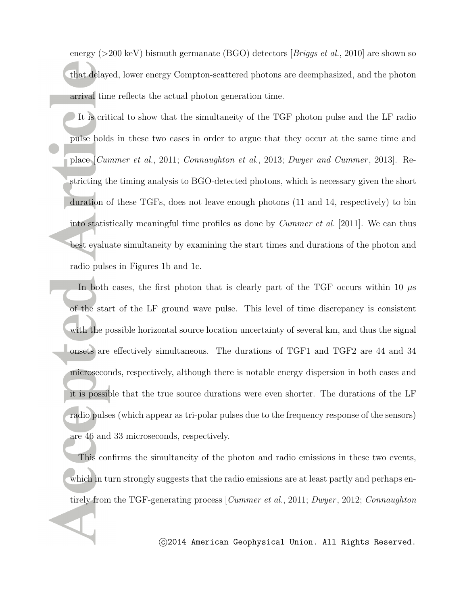energy (*>*200 keV) bismuth germanate (BGO) detectors [*Briggs et al.*, 2010] are shown so that delayed, lower energy Compton-scattered photons are deemphasized, and the photon arrival time reflects the actual photon generation time.

It is critical to show that the simultaneity of the TGF photon pulse and the LF radio pulse holds in these two cases in order to argue that they occur at the same time and place [*Cummer et al.*, 2011; *Connaughton et al.*, 2013; *Dwyer and Cummer* , 2013]. Restricting the timing analysis to BGO-detected photons, which is necessary given the short duration of these TGFs, does not leave enough photons (11 and 14, respectively) to bin into statistically meaningful time profiles as done by *Cummer et al.* [2011]. We can thus best evaluate simultaneity by examining the start times and durations of the photon and radio pulses in Figures 1b and 1c.

In both cases, the first photon that is clearly part of the TGF occurs within 10  $\mu$ s of the start of the LF ground wave pulse. This level of time discrepancy is consistent with the possible horizontal source location uncertainty of several km, and thus the signal onsets are effectively simultaneous. The durations of TGF1 and TGF2 are 44 and 34 microseconds, respectively, although there is notable energy dispersion in both cases and it is possible that the true source durations were even shorter. The durations of the LF radio pulses (which appear as tri-polar pulses due to the frequency response of the sensors) are 46 and 33 microseconds, respectively.

This confirms the simultaneity of the photon and radio emissions in these two events, which in turn strongly suggests that the radio emissions are at least partly and perhaps entirely from the TGF-generating process [*Cummer et al.*, 2011; *Dwyer* , 2012; *Connaughton*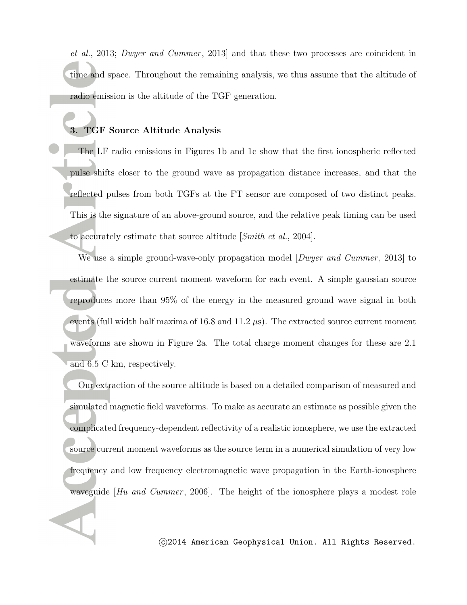*et al.*, 2013; *Dwyer and Cummer* , 2013] and that these two processes are coincident in time and space. Throughout the remaining analysis, we thus assume that the altitude of radio emission is the altitude of the TGF generation.

### **3. TGF Source Altitude Analysis**

The LF radio emissions in Figures 1b and 1c show that the first ionospheric reflected pulse shifts closer to the ground wave as propagation distance increases, and that the reflected pulses from both TGFs at the FT sensor are composed of two distinct peaks. This is the signature of an above-ground source, and the relative peak timing can be used to accurately estimate that source altitude [*Smith et al.*, 2004].

We use a simple ground-wave-only propagation model [*Dwyer and Cummer* , 2013] to estimate the source current moment waveform for each event. A simple gaussian source reproduces more than 95% of the energy in the measured ground wave signal in both events (full width half maxima of 16.8 and 11.2 *µ*s). The extracted source current moment waveforms are shown in Figure 2a. The total charge moment changes for these are 2.1 and 6.5 C km, respectively.

Our extraction of the source altitude is based on a detailed comparison of measured and simulated magnetic field waveforms. To make as accurate an estimate as possible given the complicated frequency-dependent reflectivity of a realistic ionosphere, we use the extracted source current moment waveforms as the source term in a numerical simulation of very low frequency and low frequency electromagnetic wave propagation in the Earth-ionosphere waveguide [*Hu and Cummer*, 2006]. The height of the ionosphere plays a modest role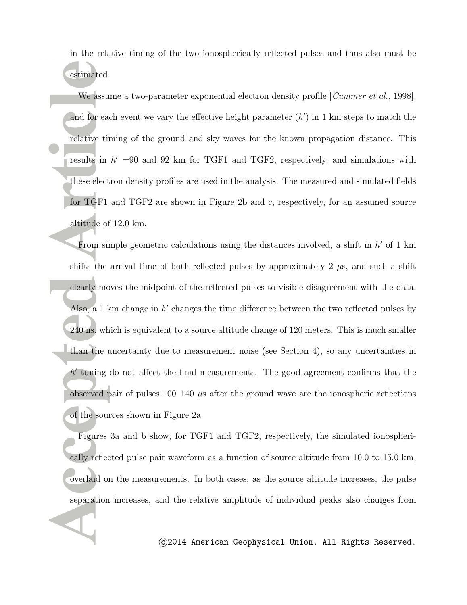in the relative timing of the two ionospherically reflected pulses and thus also must be estimated.

We assume a two-parameter exponential electron density profile [*Cummer et al.*, 1998], and for each event we vary the effective height parameter  $(h')$  in 1 km steps to match the relative timing of the ground and sky waves for the known propagation distance. This results in  $h' = 90$  and 92 km for TGF1 and TGF2, respectively, and simulations with these electron density profiles are used in the analysis. The measured and simulated fields for TGF1 and TGF2 are shown in Figure 2b and c, respectively, for an assumed source altitude of 12.0 km.

From simple geometric calculations using the distances involved, a shift in *h ′* of 1 km shifts the arrival time of both reflected pulses by approximately 2  $\mu$ s, and such a shift clearly moves the midpoint of the reflected pulses to visible disagreement with the data. Also, a 1 km change in h' changes the time difference between the two reflected pulses by 240 ns, which is equivalent to a source altitude change of 120 meters. This is much smaller than the uncertainty due to measurement noise (see Section 4), so any uncertainties in h<sup>'</sup> tuning do not affect the final measurements. The good agreement confirms that the observed pair of pulses  $100-140$   $\mu$ s after the ground wave are the ionospheric reflections of the sources shown in Figure 2a.

Figures 3a and b show, for TGF1 and TGF2, respectively, the simulated ionospherically reflected pulse pair waveform as a function of source altitude from 10.0 to 15.0 km, overlaid on the measurements. In both cases, as the source altitude increases, the pulse separation increases, and the relative amplitude of individual peaks also changes from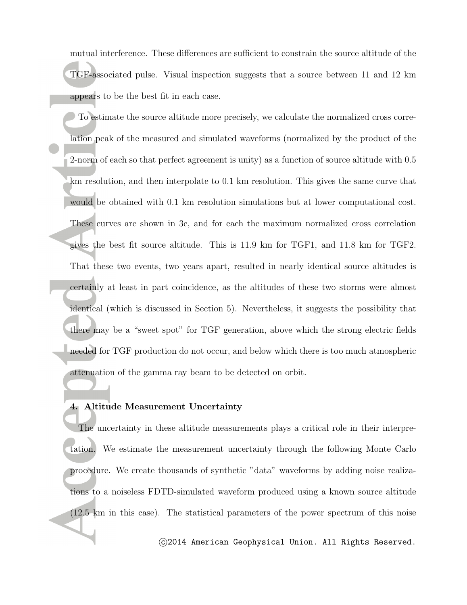mutual interference. These differences are sufficient to constrain the source altitude of the TGF-associated pulse. Visual inspection suggests that a source between 11 and 12 km appears to be the best fit in each case.

To estimate the source altitude more precisely, we calculate the normalized cross correlation peak of the measured and simulated waveforms (normalized by the product of the 2-norm of each so that perfect agreement is unity) as a function of source altitude with 0.5 km resolution, and then interpolate to 0.1 km resolution. This gives the same curve that would be obtained with 0.1 km resolution simulations but at lower computational cost. These curves are shown in 3c, and for each the maximum normalized cross correlation gives the best fit source altitude. This is 11.9 km for TGF1, and 11.8 km for TGF2. That these two events, two years apart, resulted in nearly identical source altitudes is certainly at least in part coincidence, as the altitudes of these two storms were almost identical (which is discussed in Section 5). Nevertheless, it suggests the possibility that there may be a "sweet spot" for TGF generation, above which the strong electric fields needed for TGF production do not occur, and below which there is too much atmospheric attenuation of the gamma ray beam to be detected on orbit.

#### **4. Altitude Measurement Uncertainty**

The uncertainty in these altitude measurements plays a critical role in their interpretation. We estimate the measurement uncertainty through the following Monte Carlo procedure. We create thousands of synthetic "data" waveforms by adding noise realizations to a noiseless FDTD-simulated waveform produced using a known source altitude (12.5 km in this case). The statistical parameters of the power spectrum of this noise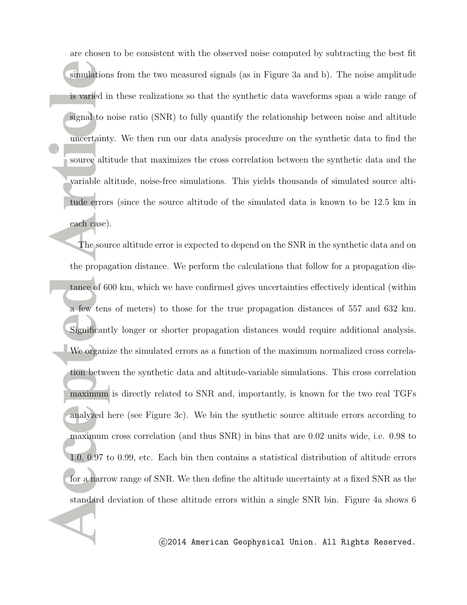are chosen to be consistent with the observed noise computed by subtracting the best fit simulations from the two measured signals (as in Figure 3a and b). The noise amplitude is varied in these realizations so that the synthetic data waveforms span a wide range of signal to noise ratio (SNR) to fully quantify the relationship between noise and altitude uncertainty. We then run our data analysis procedure on the synthetic data to find the source altitude that maximizes the cross correlation between the synthetic data and the variable altitude, noise-free simulations. This yields thousands of simulated source altitude errors (since the source altitude of the simulated data is known to be 12.5 km in each case).

The source altitude error is expected to depend on the SNR in the synthetic data and on the propagation distance. We perform the calculations that follow for a propagation distance of 600 km, which we have confirmed gives uncertainties effectively identical (within a few tens of meters) to those for the true propagation distances of 557 and 632 km. Significantly longer or shorter propagation distances would require additional analysis. We organize the simulated errors as a function of the maximum normalized cross correlation between the synthetic data and altitude-variable simulations. This cross correlation maximum is directly related to SNR and, importantly, is known for the two real TGFs analyzed here (see Figure 3c). We bin the synthetic source altitude errors according to maximum cross correlation (and thus SNR) in bins that are 0.02 units wide, i.e. 0.98 to 1.0, 0.97 to 0.99, etc. Each bin then contains a statistical distribution of altitude errors for a narrow range of SNR. We then define the altitude uncertainty at a fixed SNR as the standard deviation of these altitude errors within a single SNR bin. Figure 4a shows 6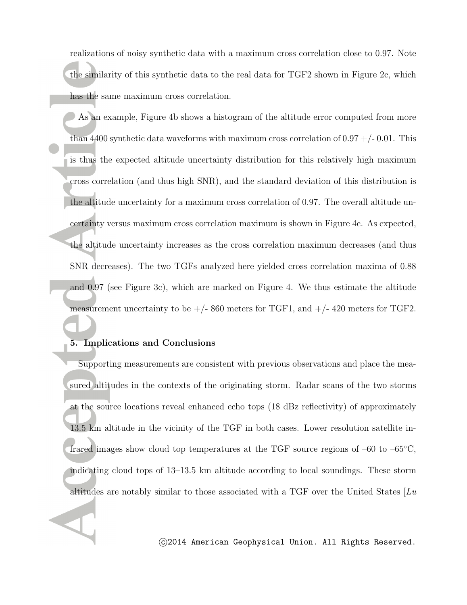realizations of noisy synthetic data with a maximum cross correlation close to 0.97. Note the similarity of this synthetic data to the real data for TGF2 shown in Figure 2c, which has the same maximum cross correlation.

As an example, Figure 4b shows a histogram of the altitude error computed from more than 4400 synthetic data waveforms with maximum cross correlation of  $0.97 + -0.01$ . This is thus the expected altitude uncertainty distribution for this relatively high maximum cross correlation (and thus high SNR), and the standard deviation of this distribution is the altitude uncertainty for a maximum cross correlation of 0.97. The overall altitude uncertainty versus maximum cross correlation maximum is shown in Figure 4c. As expected, the altitude uncertainty increases as the cross correlation maximum decreases (and thus SNR decreases). The two TGFs analyzed here yielded cross correlation maxima of 0.88 and 0.97 (see Figure 3c), which are marked on Figure 4. We thus estimate the altitude measurement uncertainty to be  $+/- 860$  meters for TGF1, and  $+/- 420$  meters for TGF2.

#### **5. Implications and Conclusions**

Supporting measurements are consistent with previous observations and place the measured altitudes in the contexts of the originating storm. Radar scans of the two storms at the source locations reveal enhanced echo tops (18 dBz reflectivity) of approximately 13.5 km altitude in the vicinity of the TGF in both cases. Lower resolution satellite infrared images show cloud top temperatures at the TGF source regions of –60 to –65*◦*C, indicating cloud tops of 13–13.5 km altitude according to local soundings. These storm altitudes are notably similar to those associated with a TGF over the United States [*Lu*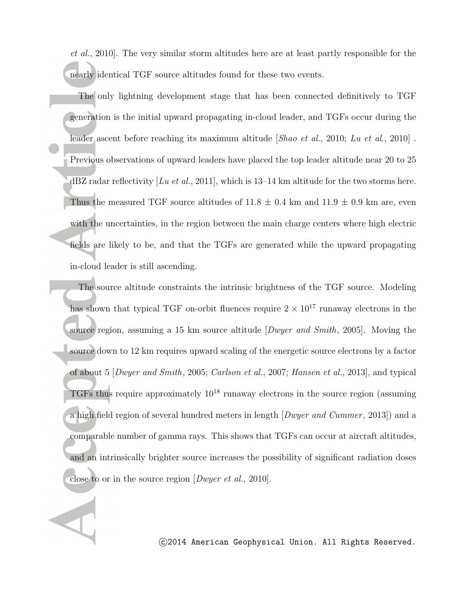*et al.*, 2010]. The very similar storm altitudes here are at least partly responsible for the nearly identical TGF source altitudes found for these two events.

The only lightning development stage that has been connected definitively to TGF generation is the initial upward propagating in-cloud leader, and TGFs occur during the leader ascent before reaching its maximum altitude [*Shao et al.*, 2010; *Lu et al.*, 2010] . Previous observations of upward leaders have placed the top leader altitude near 20 to 25 dBZ radar reflectivity [*Lu et al.*, 2011], which is 13–14 km altitude for the two storms here. Thus the measured TGF source altitudes of  $11.8 \pm 0.4$  km and  $11.9 \pm 0.9$  km are, even with the uncertainties, in the region between the main charge centers where high electric fields are likely to be, and that the TGFs are generated while the upward propagating in-cloud leader is still ascending.

The source altitude constraints the intrinsic brightness of the TGF source. Modeling has shown that typical TGF on-orbit fluences require  $2 \times 10^{17}$  runaway electrons in the source region, assuming a 15 km source altitude [*Dwyer and Smith*, 2005]. Moving the source down to 12 km requires upward scaling of the energetic source electrons by a factor of about 5 [*Dwyer and Smith*, 2005; *Carlson et al.*, 2007; *Hansen et al.*, 2013], and typical TGFs thus require approximately  $10^{18}$  runaway electrons in the source region (assuming a high field region of several hundred meters in length [*Dwyer and Cummer* , 2013]) and a comparable number of gamma rays. This shows that TGFs can occur at aircraft altitudes, and an intrinsically brighter source increases the possibility of significant radiation doses close to or in the source region [*Dwyer et al.*, 2010].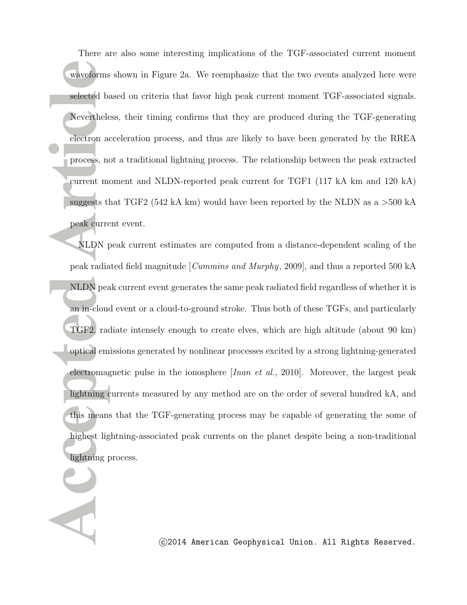There are also some interesting implications of the TGF-associated current moment waveforms shown in Figure 2a. We reemphasize that the two events analyzed here were selected based on criteria that favor high peak current moment TGF-associated signals. Nevertheless, their timing confirms that they are produced during the TGF-generating electron acceleration process, and thus are likely to have been generated by the RREA process, not a traditional lightning process. The relationship between the peak extracted current moment and NLDN-reported peak current for TGF1 (117 kA km and 120 kA) suggests that TGF2 (542 kA km) would have been reported by the NLDN as a *>*500 kA peak current event.

NLDN peak current estimates are computed from a distance-dependent scaling of the peak radiated field magnitude [*Cummins and Murphy*, 2009], and thus a reported 500 kA NLDN peak current event generates the same peak radiated field regardless of whether it is an in-cloud event or a cloud-to-ground stroke. Thus both of these TGFs, and particularly TGF2, radiate intensely enough to create elves, which are high altitude (about 90 km) optical emissions generated by nonlinear processes excited by a strong lightning-generated electromagnetic pulse in the ionosphere [*Inan et al.*, 2010]. Moreover, the largest peak lightning currents measured by any method are on the order of several hundred kA, and this means that the TGF-generating process may be capable of generating the some of highest lightning-associated peak currents on the planet despite being a non-traditional lightning process.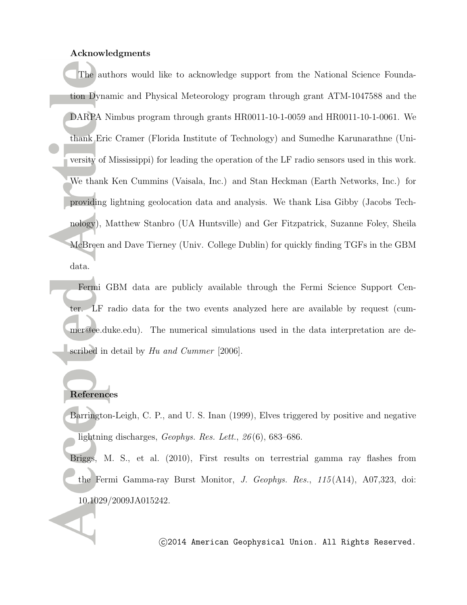#### **Acknowledgments**

The authors would like to acknowledge support from the National Science Foundation Dynamic and Physical Meteorology program through grant ATM-1047588 and the DARPA Nimbus program through grants HR0011-10-1-0059 and HR0011-10-1-0061. We thank Eric Cramer (Florida Institute of Technology) and Sumedhe Karunarathne (University of Mississippi) for leading the operation of the LF radio sensors used in this work. We thank Ken Cummins (Vaisala, Inc.) and Stan Heckman (Earth Networks, Inc.) for providing lightning geolocation data and analysis. We thank Lisa Gibby (Jacobs Technology), Matthew Stanbro (UA Huntsville) and Ger Fitzpatrick, Suzanne Foley, Sheila McBreen and Dave Tierney (Univ. College Dublin) for quickly finding TGFs in the GBM data.

Fermi GBM data are publicly available through the Fermi Science Support Center. LF radio data for the two events analyzed here are available by request (cummer@ee.duke.edu). The numerical simulations used in the data interpretation are described in detail by *Hu and Cummer* [2006].

## **References**

- Barrington-Leigh, C. P., and U. S. Inan (1999), Elves triggered by positive and negative lightning discharges, *Geophys. Res. Lett.*, *26* (6), 683–686.
- Briggs, M. S., et al. (2010), First results on terrestrial gamma ray flashes from the Fermi Gamma-ray Burst Monitor, *J. Geophys. Res.*, *115* (A14), A07,323, doi: 10.1029/2009JA015242.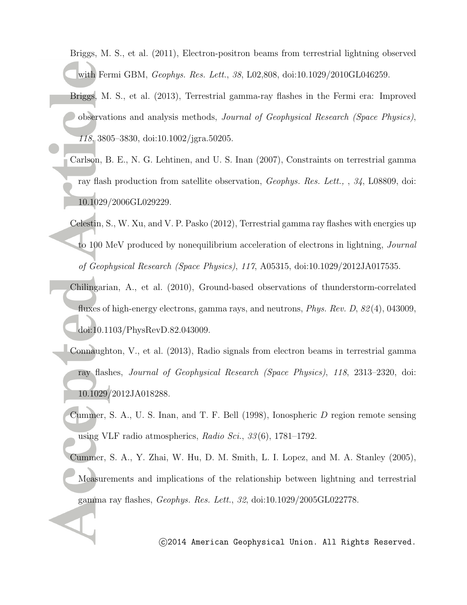Briggs, M. S., et al. (2011), Electron-positron beams from terrestrial lightning observed with Fermi GBM, *Geophys. Res. Lett.*, *38*, L02,808, doi:10.1029/2010GL046259.

- Briggs, M. S., et al. (2013), Terrestrial gamma-ray flashes in the Fermi era: Improved observations and analysis methods, *Journal of Geophysical Research (Space Physics)*, *118*, 3805–3830, doi:10.1002/jgra.50205.
- Carlson, B. E., N. G. Lehtinen, and U. S. Inan (2007), Constraints on terrestrial gamma ray flash production from satellite observation, *Geophys. Res. Lett.,* , *34*, L08809, doi: 10.1029/2006GL029229.
- Celestin, S., W. Xu, and V. P. Pasko (2012), Terrestrial gamma ray flashes with energies up to 100 MeV produced by nonequilibrium acceleration of electrons in lightning, *Journal of Geophysical Research (Space Physics)*, *117*, A05315, doi:10.1029/2012JA017535.
- Chilingarian, A., et al. (2010), Ground-based observations of thunderstorm-correlated fluxes of high-energy electrons, gamma rays, and neutrons, *Phys. Rev. D*, *82* (4), 043009, doi:10.1103/PhysRevD.82.043009.
- Connaughton, V., et al. (2013), Radio signals from electron beams in terrestrial gamma ray flashes, *Journal of Geophysical Research (Space Physics)*, *118*, 2313–2320, doi: 10.1029/2012JA018288.
- Cummer, S. A., U. S. Inan, and T. F. Bell (1998), Ionospheric *D* region remote sensing using VLF radio atmospherics, *Radio Sci.*, *33* (6), 1781–1792.
- Cummer, S. A., Y. Zhai, W. Hu, D. M. Smith, L. I. Lopez, and M. A. Stanley (2005), Measurements and implications of the relationship between lightning and terrestrial gamma ray flashes, *Geophys. Res. Lett.*, *32*, doi:10.1029/2005GL022778.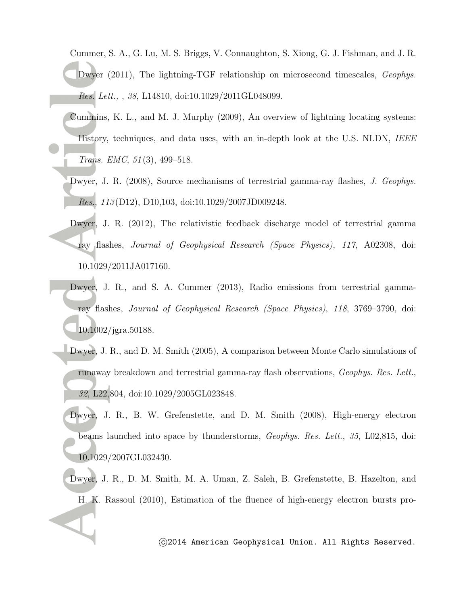Cummer, S. A., G. Lu, M. S. Briggs, V. Connaughton, S. Xiong, G. J. Fishman, and J. R. Dwyer (2011), The lightning-TGF relationship on microsecond timescales, *Geophys. Res. Lett.,* , *38*, L14810, doi:10.1029/2011GL048099.

- Cummins, K. L., and M. J. Murphy (2009), An overview of lightning locating systems: History, techniques, and data uses, with an in-depth look at the U.S. NLDN, *IEEE Trans. EMC*, *51* (3), 499–518.
- Dwyer, J. R. (2008), Source mechanisms of terrestrial gamma-ray flashes, *J. Geophys. Res.*, *113* (D12), D10,103, doi:10.1029/2007JD009248.
- Dwyer, J. R. (2012), The relativistic feedback discharge model of terrestrial gamma ray flashes, *Journal of Geophysical Research (Space Physics)*, *117*, A02308, doi: 10.1029/2011JA017160.
- Dwyer, J. R., and S. A. Cummer (2013), Radio emissions from terrestrial gammaray flashes, *Journal of Geophysical Research (Space Physics)*, *118*, 3769–3790, doi: 10.1002/jgra.50188.
- Dwyer, J. R., and D. M. Smith (2005), A comparison between Monte Carlo simulations of runaway breakdown and terrestrial gamma-ray flash observations, *Geophys. Res. Lett.*, *32*, L22,804, doi:10.1029/2005GL023848.
- Dwyer, J. R., B. W. Grefenstette, and D. M. Smith (2008), High-energy electron beams launched into space by thunderstorms, *Geophys. Res. Lett.*, *35*, L02,815, doi: 10.1029/2007GL032430.
- Dwyer, J. R., D. M. Smith, M. A. Uman, Z. Saleh, B. Grefenstette, B. Hazelton, and H. K. Rassoul (2010), Estimation of the fluence of high-energy electron bursts pro-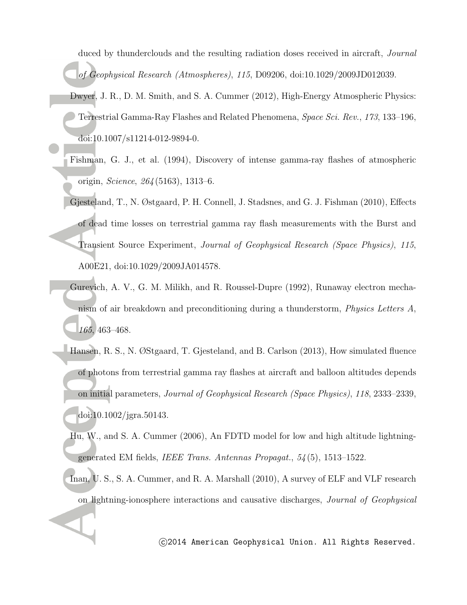duced by thunderclouds and the resulting radiation doses received in aircraft, *Journal of Geophysical Research (Atmospheres)*, *115*, D09206, doi:10.1029/2009JD012039.

- Dwyer, J. R., D. M. Smith, and S. A. Cummer (2012), High-Energy Atmospheric Physics: Terrestrial Gamma-Ray Flashes and Related Phenomena, *Space Sci. Rev.*, *173*, 133–196, doi:10.1007/s11214-012-9894-0.
- Fishman, G. J., et al. (1994), Discovery of intense gamma-ray flashes of atmospheric origin, *Science*, *264* (5163), 1313–6.
- Gjesteland, T., N. Østgaard, P. H. Connell, J. Stadsnes, and G. J. Fishman (2010), Effects of dead time losses on terrestrial gamma ray flash measurements with the Burst and Transient Source Experiment, *Journal of Geophysical Research (Space Physics)*, *115*, A00E21, doi:10.1029/2009JA014578.
- Gurevich, A. V., G. M. Milikh, and R. Roussel-Dupre (1992), Runaway electron mechanism of air breakdown and preconditioning during a thunderstorm, *Physics Letters A*, *165*, 463–468.
- Hansen, R. S., N. ØStgaard, T. Gjesteland, and B. Carlson (2013), How simulated fluence of photons from terrestrial gamma ray flashes at aircraft and balloon altitudes depends on initial parameters, *Journal of Geophysical Research (Space Physics)*, *118*, 2333–2339, doi:10.1002/jgra.50143.
	- Hu, W., and S. A. Cummer (2006), An FDTD model for low and high altitude lightninggenerated EM fields, *IEEE Trans. Antennas Propagat.*, *54* (5), 1513–1522.
	- Inan, U. S., S. A. Cummer, and R. A. Marshall (2010), A survey of ELF and VLF research on lightning-ionosphere interactions and causative discharges, *Journal of Geophysical*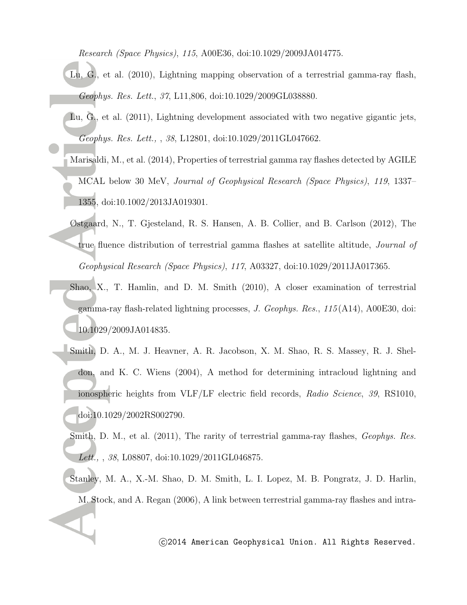*Research (Space Physics)*, *115*, A00E36, doi:10.1029/2009JA014775.

- Lu, G., et al. (2010), Lightning mapping observation of a terrestrial gamma-ray flash, *Geophys. Res. Lett.*, *37*, L11,806, doi:10.1029/2009GL038880.
- Lu, G., et al. (2011), Lightning development associated with two negative gigantic jets, *Geophys. Res. Lett.,* , *38*, L12801, doi:10.1029/2011GL047662.
- Marisaldi, M., et al. (2014), Properties of terrestrial gamma ray flashes detected by AGILE MCAL below 30 MeV, *Journal of Geophysical Research (Space Physics)*, *119*, 1337– 1355, doi:10.1002/2013JA019301.
- Østgaard, N., T. Gjesteland, R. S. Hansen, A. B. Collier, and B. Carlson (2012), The true fluence distribution of terrestrial gamma flashes at satellite altitude, *Journal of Geophysical Research (Space Physics)*, *117*, A03327, doi:10.1029/2011JA017365.
- Shao, X., T. Hamlin, and D. M. Smith (2010), A closer examination of terrestrial gamma-ray flash-related lightning processes, *J. Geophys. Res.*, *115* (A14), A00E30, doi: 10.1029/2009JA014835.
- Smith, D. A., M. J. Heavner, A. R. Jacobson, X. M. Shao, R. S. Massey, R. J. Sheldon, and K. C. Wiens (2004), A method for determining intracloud lightning and ionospheric heights from VLF/LF electric field records, *Radio Science*, *39*, RS1010, doi:10.1029/2002RS002790.
	- Smith, D. M., et al. (2011), The rarity of terrestrial gamma-ray flashes, *Geophys. Res. Lett.,* , *38*, L08807, doi:10.1029/2011GL046875.
- Stanley, M. A., X.-M. Shao, D. M. Smith, L. I. Lopez, M. B. Pongratz, J. D. Harlin, M. Stock, and A. Regan (2006), A link between terrestrial gamma-ray flashes and intra-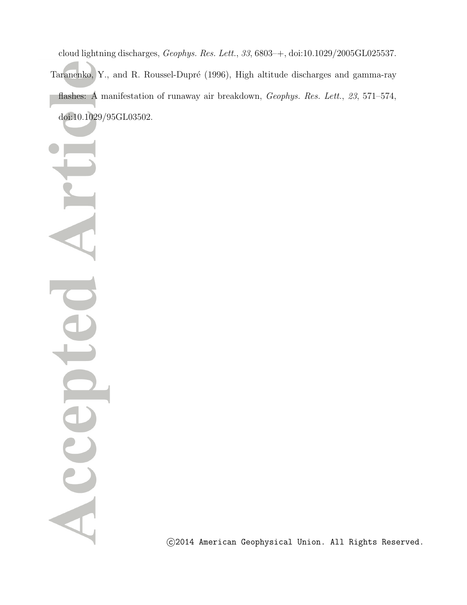cloud lightning discharges, *Geophys. Res. Lett.*, *33*, 6803–+, doi:10.1029/2005GL025537. Taranenko, Y., and R. Roussel-Dupré (1996), High altitude discharges and gamma-ray flashes: A manifestation of runaway air breakdown, *Geophys. Res. Lett.*, *23*, 571–574, doi:10.1029/95GL03502.

Acce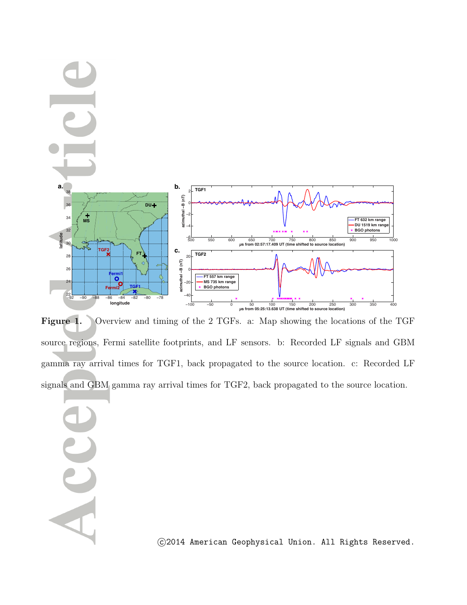

Figure 1. Overview and timing of the 2 TGFs. a: Map showing the locations of the TGF source regions, Fermi satellite footprints, and LF sensors. b: Recorded LF signals and GBM gamma ray arrival times for TGF1, back propagated to the source location. c: Recorded LF signals and GBM gamma ray arrival times for TGF2, back propagated to the source location.

ACC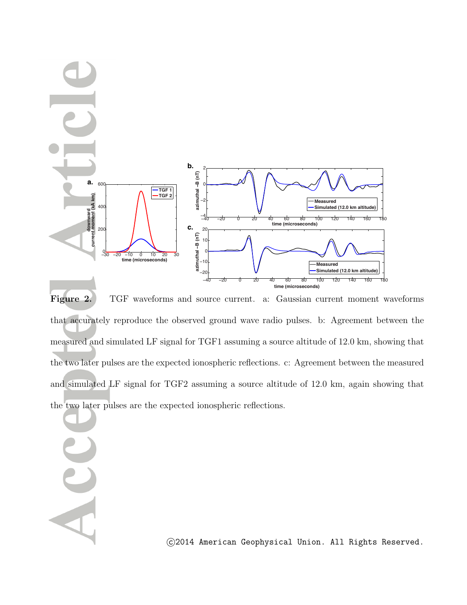

**Figure 2.** TGF waveforms and source current. a: Gaussian current moment waveforms that accurately reproduce the observed ground wave radio pulses. b: Agreement between the measured and simulated LF signal for TGF1 assuming a source altitude of 12.0 km, showing that the two later pulses are the expected ionospheric reflections. c: Agreement between the measured and simulated LF signal for TGF2 assuming a source altitude of 12.0 km, again showing that the two later pulses are the expected ionospheric reflections.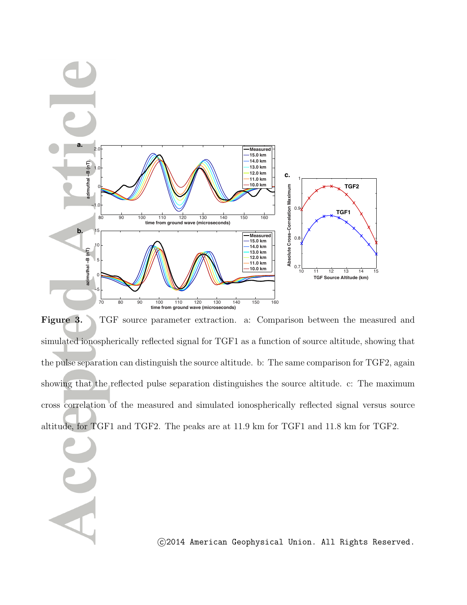

**Figure 3.** TGF source parameter extraction. a: Comparison between the measured and simulated ionospherically reflected signal for TGF1 as a function of source altitude, showing that the pulse separation can distinguish the source altitude. b: The same comparison for TGF2, again showing that the reflected pulse separation distinguishes the source altitude. c: The maximum cross correlation of the measured and simulated ionospherically reflected signal versus source altitude, for TGF1 and TGF2. The peaks are at 11.9 km for TGF1 and 11.8 km for TGF2.